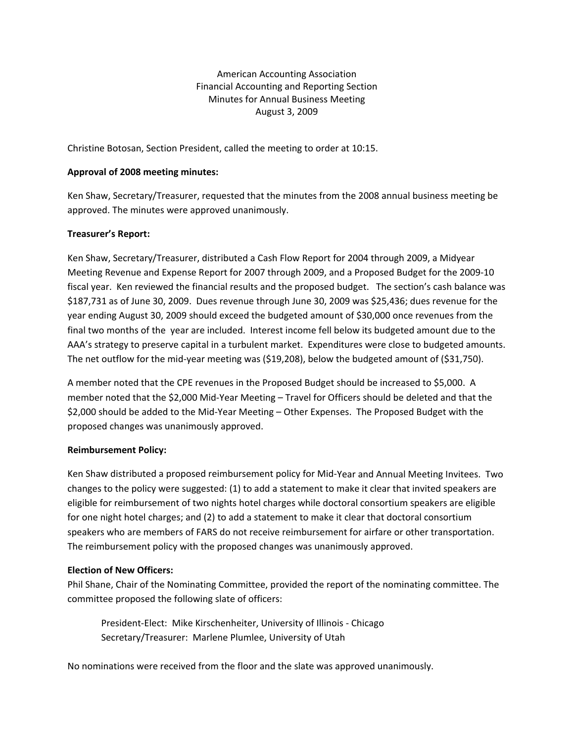American Accounting Association Financial Accounting and Reporting Section Minutes for Annual Business Meeting August 3, 2009

Christine Botosan, Section President, called the meeting to order at 10:15.

# **Approval of 2008 meeting minutes:**

Ken Shaw, Secretary/Treasurer, requested that the minutes from the 2008 annual business meeting be approved. The minutes were approved unanimously.

# **Treasurer's Report:**

Ken Shaw, Secretary/Treasurer, distributed a Cash Flow Report for 2004 through 2009, a Midyear Meeting Revenue and Expense Report for 2007 through 2009, and a Proposed Budget for the 2009‐10 fiscal year. Ken reviewed the financial results and the proposed budget. The section's cash balance was \$187,731 as of June 30, 2009. Dues revenue through June 30, 2009 was \$25,436; dues revenue for the year ending August 30, 2009 should exceed the budgeted amount of \$30,000 once revenues from the final two months of the year are included. Interest income fell below its budgeted amount due to the AAA's strategy to preserve capital in a turbulent market. Expenditures were close to budgeted amounts. The net outflow for the mid-year meeting was (\$19,208), below the budgeted amount of (\$31,750).

A member noted that the CPE revenues in the Proposed Budget should be increased to \$5,000. A member noted that the \$2,000 Mid‐Year Meeting – Travel for Officers should be deleted and that the \$2,000 should be added to the Mid‐Year Meeting – Other Expenses. The Proposed Budget with the proposed changes was unanimously approved.

## **Reimbursement Policy:**

Ken Shaw distributed a proposed reimbursement policy for Mid‐Year and Annual Meeting Invitees. Two changes to the policy were suggested: (1) to add a statement to make it clear that invited speakers are eligible for reimbursement of two nights hotel charges while doctoral consortium speakers are eligible for one night hotel charges; and (2) to add a statement to make it clear that doctoral consortium speakers who are members of FARS do not receive reimbursement for airfare or other transportation. The reimbursement policy with the proposed changes was unanimously approved.

# **Election of New Officers:**

Phil Shane, Chair of the Nominating Committee, provided the report of the nominating committee. The committee proposed the following slate of officers:

President‐Elect: Mike Kirschenheiter, University of Illinois ‐ Chicago Secretary/Treasurer: Marlene Plumlee, University of Utah

No nominations were received from the floor and the slate was approved unanimously.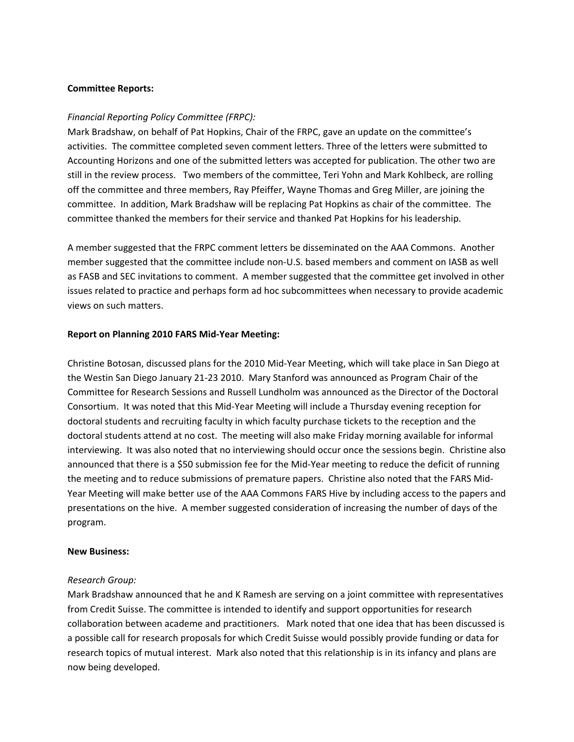## **Committee Reports:**

## *Financial Reporting Policy Committee (FRPC):*

Mark Bradshaw, on behalf of Pat Hopkins, Chair of the FRPC, gave an update on the committee's activities. The committee completed seven comment letters. Three of the letters were submitted to Accounting Horizons and one of the submitted letters was accepted for publication. The other two are still in the review process. Two members of the committee, Teri Yohn and Mark Kohlbeck, are rolling off the committee and three members, Ray Pfeiffer, Wayne Thomas and Greg Miller, are joining the committee. In addition, Mark Bradshaw will be replacing Pat Hopkins as chair of the committee. The committee thanked the members for their service and thanked Pat Hopkins for his leadership.

A member suggested that the FRPC comment letters be disseminated on the AAA Commons. Another member suggested that the committee include non‐U.S. based members and comment on IASB as well as FASB and SEC invitations to comment. A member suggested that the committee get involved in other issues related to practice and perhaps form ad hoc subcommittees when necessary to provide academic views on such matters.

#### **Report on Planning 2010 FARS Mid‐Year Meeting:**

Christine Botosan, discussed plans for the 2010 Mid‐Year Meeting, which will take place in San Diego at the Westin San Diego January 21‐23 2010. Mary Stanford was announced as Program Chair of the Committee for Research Sessions and Russell Lundholm was announced as the Director of the Doctoral Consortium. It was noted that this Mid‐Year Meeting will include a Thursday evening reception for doctoral students and recruiting faculty in which faculty purchase tickets to the reception and the doctoral students attend at no cost. The meeting will also make Friday morning available for informal interviewing. It was also noted that no interviewing should occur once the sessions begin. Christine also announced that there is a \$50 submission fee for the Mid-Year meeting to reduce the deficit of running the meeting and to reduce submissions of premature papers. Christine also noted that the FARS Mid‐ Year Meeting will make better use of the AAA Commons FARS Hive by including access to the papers and presentations on the hive. A member suggested consideration of increasing the number of days of the program.

#### **New Business:**

#### *Research Group:*

Mark Bradshaw announced that he and K Ramesh are serving on a joint committee with representatives from Credit Suisse. The committee is intended to identify and support opportunities for research collaboration between academe and practitioners. Mark noted that one idea that has been discussed is a possible call for research proposals for which Credit Suisse would possibly provide funding or data for research topics of mutual interest. Mark also noted that this relationship is in its infancy and plans are now being developed.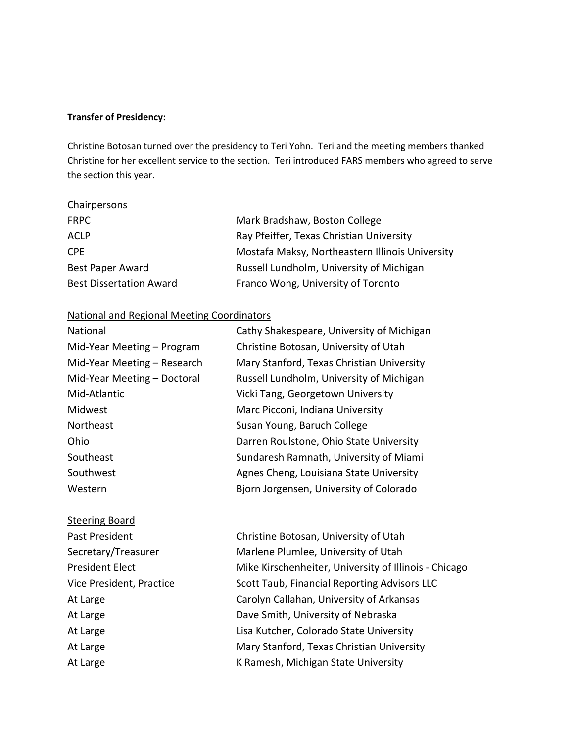#### **Transfer of Presidency:**

Christine Botosan turned over the presidency to Teri Yohn. Teri and the meeting members thanked Christine for her excellent service to the section. Teri introduced FARS members who agreed to serve the section this year.

## **Chairpersons**

| <b>FRPC</b>                    | Mark Bradshaw, Boston College                   |
|--------------------------------|-------------------------------------------------|
| <b>ACLP</b>                    | Ray Pfeiffer, Texas Christian University        |
| CPF.                           | Mostafa Maksy, Northeastern Illinois University |
| <b>Best Paper Award</b>        | Russell Lundholm, University of Michigan        |
| <b>Best Dissertation Award</b> | Franco Wong, University of Toronto              |

# National and Regional Meeting Coordinators

| National                    | Cathy Shakespeare, University of Michigan |
|-----------------------------|-------------------------------------------|
| Mid-Year Meeting - Program  | Christine Botosan, University of Utah     |
| Mid-Year Meeting - Research | Mary Stanford, Texas Christian University |
| Mid-Year Meeting - Doctoral | Russell Lundholm, University of Michigan  |
| Mid-Atlantic                | Vicki Tang, Georgetown University         |
| Midwest                     | Marc Picconi, Indiana University          |
| Northeast                   | Susan Young, Baruch College               |
| Ohio                        | Darren Roulstone, Ohio State University   |
| Southeast                   | Sundaresh Ramnath, University of Miami    |
| Southwest                   | Agnes Cheng, Louisiana State University   |
| Western                     | Bjorn Jorgensen, University of Colorado   |
|                             |                                           |

# Steering Board Past President *Christine Botosan, University of Utah* Secretary/Treasurer **Marlene Plumlee, University of Utah** President Elect **Nike Kirschenheiter, University of Illinois - Chicago** Vice President, Practice **Scott Taub, Financial Reporting Advisors LLC** At Large **1988 Carolyn Callahan, University of Arkansas** At Large **1988 COVERTS** Dave Smith, University of Nebraska At Large **1988 Convertse Coloration** Lisa Kutcher, Colorado State University At Large **Mary Stanford, Texas Christian University** At Large **1988 COVERTS AT Large 1988** K Ramesh, Michigan State University